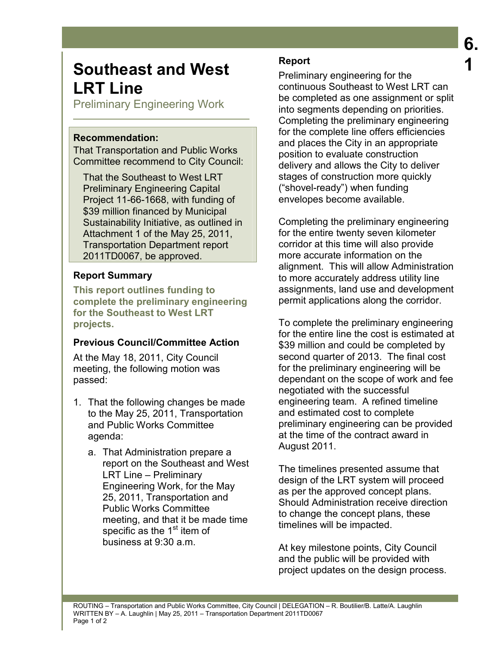# **Southeast and West LRT Line**

Preliminary Engineering Work

#### **Recommendation:**

That Transportation and Public Works Committee recommend to City Council:

That the Southeast to West LRT Preliminary Engineering Capital Project 11-66-1668, with funding of \$39 million financed by Municipal Sustainability Initiative, as outlined in Attachment 1 of the May 25, 2011, Transportation Department report 2011TD0067, be approved.

## **Report Summary**

**This report outlines funding to complete the preliminary engineering for the Southeast to West LRT projects.** 

### **Previous Council/Committee Action**

At the May 18, 2011, City Council meeting, the following motion was passed:

- 1. That the following changes be made to the May 25, 2011, Transportation and Public Works Committee agenda:
	- a. That Administration prepare a report on the Southeast and West LRT Line – Preliminary Engineering Work, for the May 25, 2011, Transportation and Public Works Committee meeting, and that it be made time specific as the  $1<sup>st</sup>$  item of business at 9:30 a.m.

## **Report**

Preliminary engineering for the continuous Southeast to West LRT can be completed as one assignment or split into segments depending on priorities. Completing the preliminary engineering for the complete line offers efficiencies and places the City in an appropriate position to evaluate construction delivery and allows the City to deliver stages of construction more quickly ("shovel-ready") when funding envelopes become available.

Completing the preliminary engineering for the entire twenty seven kilometer corridor at this time will also provide more accurate information on the alignment. This will allow Administration to more accurately address utility line assignments, land use and development permit applications along the corridor.

To complete the preliminary engineering for the entire line the cost is estimated at \$39 million and could be completed by second quarter of 2013. The final cost for the preliminary engineering will be dependant on the scope of work and fee negotiated with the successful engineering team. A refined timeline and estimated cost to complete preliminary engineering can be provided at the time of the contract award in August 2011.

The timelines presented assume that design of the LRT system will proceed as per the approved concept plans. Should Administration receive direction to change the concept plans, these timelines will be impacted.

At key milestone points, City Council and the public will be provided with project updates on the design process.